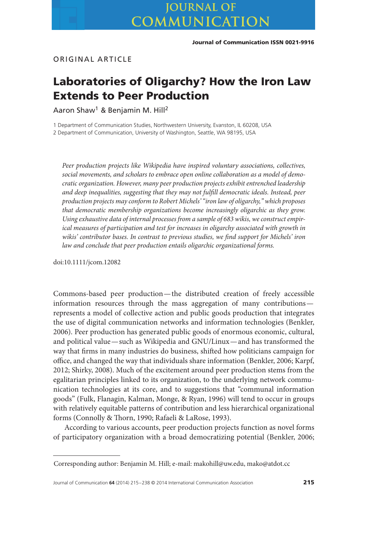# ORIGINAL ARTICLE

# **Laboratories of Oligarchy? How the Iron Law Extends to Peer Production**

Aaron Shaw<sup>1</sup> & Benjamin M. Hill<sup>2</sup>

1 Department of Communication Studies, Northwestern University, Evanston, IL 60208, USA 2 Department of Communication, University of Washington, Seattle, WA 98195, USA

*Peer production projects like Wikipedia have inspired voluntary associations, collectives, social movements, and scholars to embrace open online collaboration as a model of democratic organization. However, many peer production projects exhibit entrenched leadership and deep inequalities, suggesting that they may not fulfill democratic ideals. Instead, peer production projects may conform to Robert Michels' "iron law of oligarchy," which proposes that democratic membership organizations become increasingly oligarchic as they grow. Using exhaustive data of internal processes from a sample of 683 wikis, we construct empirical measures of participation and test for increases in oligarchy associated with growth in wikis' contributor bases. In contrast to previous studies, we find support for Michels' iron law and conclude that peer production entails oligarchic organizational forms.*

doi:10.1111/jcom.12082

Commons-based peer production— the distributed creation of freely accessible information resources through the mass aggregation of many contributions represents a model of collective action and public goods production that integrates the use of digital communication networks and information technologies (Benkler, 2006). Peer production has generated public goods of enormous economic, cultural, and political value—such as Wikipedia and GNU/Linux—and has transformed the way that firms in many industries do business, shifted how politicians campaign for office, and changed the way that individuals share information (Benkler, 2006; Karpf, 2012; Shirky, 2008). Much of the excitement around peer production stems from the egalitarian principles linked to its organization, to the underlying network communication technologies at its core, and to suggestions that "communal information goods" (Fulk, Flanagin, Kalman, Monge, & Ryan, 1996) will tend to occur in groups with relatively equitable patterns of contribution and less hierarchical organizational forms (Connolly & Thorn, 1990; Rafaeli & LaRose, 1993).

According to various accounts, peer production projects function as novel forms of participatory organization with a broad democratizing potential (Benkler, 2006;

Corresponding author: Benjamin M. Hill; e-mail: makohill@uw.edu, mako@atdot.cc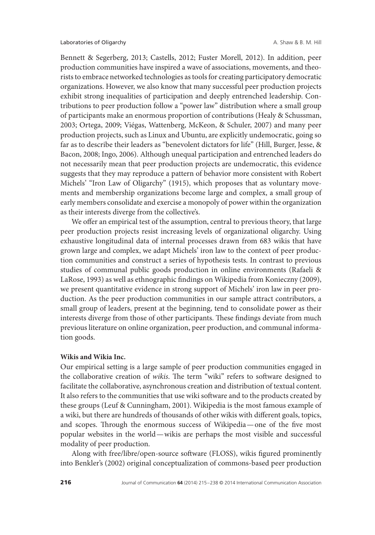Bennett & Segerberg, 2013; Castells, 2012; Fuster Morell, 2012). In addition, peer production communities have inspired a wave of associations, movements, and theorists to embrace networked technologies as tools for creating participatory democratic organizations. However, we also know that many successful peer production projects exhibit strong inequalities of participation and deeply entrenched leadership. Contributions to peer production follow a "power law" distribution where a small group of participants make an enormous proportion of contributions (Healy & Schussman, 2003; Ortega, 2009; Viégas, Wattenberg, McKeon, & Schuler, 2007) and many peer production projects, such as Linux and Ubuntu, are explicitly undemocratic, going so far as to describe their leaders as "benevolent dictators for life" (Hill, Burger, Jesse, & Bacon, 2008; Ingo, 2006). Although unequal participation and entrenched leaders do not necessarily mean that peer production projects are undemocratic, this evidence suggests that they may reproduce a pattern of behavior more consistent with Robert Michels' "Iron Law of Oligarchy" (1915), which proposes that as voluntary movements and membership organizations become large and complex, a small group of early members consolidate and exercise a monopoly of power within the organization as their interests diverge from the collective's.

We offer an empirical test of the assumption, central to previous theory, that large peer production projects resist increasing levels of organizational oligarchy. Using exhaustive longitudinal data of internal processes drawn from 683 wikis that have grown large and complex, we adapt Michels' iron law to the context of peer production communities and construct a series of hypothesis tests. In contrast to previous studies of communal public goods production in online environments (Rafaeli & LaRose, 1993) as well as ethnographic findings on Wikipedia from Konieczny (2009), we present quantitative evidence in strong support of Michels' iron law in peer production. As the peer production communities in our sample attract contributors, a small group of leaders, present at the beginning, tend to consolidate power as their interests diverge from those of other participants. These findings deviate from much previous literature on online organization, peer production, and communal information goods.

# **Wikis and Wikia Inc.**

Our empirical setting is a large sample of peer production communities engaged in the collaborative creation of *wikis*. The term "wiki" refers to software designed to facilitate the collaborative, asynchronous creation and distribution of textual content. It also refers to the communities that use wiki software and to the products created by these groups (Leuf & Cunningham, 2001). Wikipedia is the most famous example of a wiki, but there are hundreds of thousands of other wikis with different goals, topics, and scopes. Through the enormous success of Wikipedia—one of the five most popular websites in the world—wikis are perhaps the most visible and successful modality of peer production.

Along with free/libre/open-source software (FLOSS), wikis figured prominently into Benkler's (2002) original conceptualization of commons-based peer production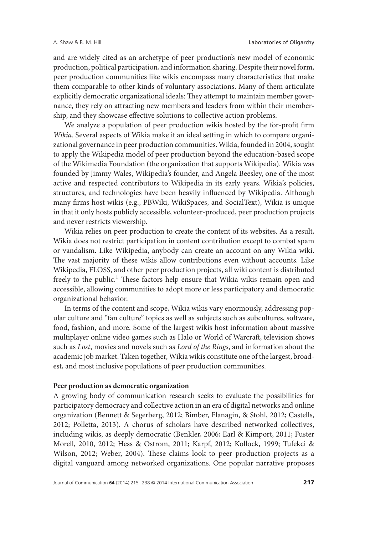and are widely cited as an archetype of peer production's new model of economic production, political participation, and information sharing. Despite their novel form, peer production communities like wikis encompass many characteristics that make them comparable to other kinds of voluntary associations. Many of them articulate explicitly democratic organizational ideals: They attempt to maintain member governance, they rely on attracting new members and leaders from within their membership, and they showcase effective solutions to collective action problems.

We analyze a population of peer production wikis hosted by the for-profit firm *Wikia*. Several aspects of Wikia make it an ideal setting in which to compare organizational governance in peer production communities. Wikia, founded in 2004, sought to apply the Wikipedia model of peer production beyond the education-based scope of the Wikimedia Foundation (the organization that supports Wikipedia). Wikia was founded by Jimmy Wales, Wikipedia's founder, and Angela Beesley, one of the most active and respected contributors to Wikipedia in its early years. Wikia's policies, structures, and technologies have been heavily influenced by Wikipedia. Although many firms host wikis (e.g., PBWiki, WikiSpaces, and SocialText), Wikia is unique in that it only hosts publicly accessible, volunteer-produced, peer production projects and never restricts viewership.

Wikia relies on peer production to create the content of its websites. As a result, Wikia does not restrict participation in content contribution except to combat spam or vandalism. Like Wikipedia, anybody can create an account on any Wikia wiki. The vast majority of these wikis allow contributions even without accounts. Like Wikipedia, FLOSS, and other peer production projects, all wiki content is distributed freely to the public.<sup>1</sup> These factors help ensure that Wikia wikis remain open and accessible, allowing communities to adopt more or less participatory and democratic organizational behavior.

In terms of the content and scope, Wikia wikis vary enormously, addressing popular culture and "fan culture" topics as well as subjects such as subcultures, software, food, fashion, and more. Some of the largest wikis host information about massive multiplayer online video games such as Halo or World of Warcraft, television shows such as *Lost*, movies and novels such as *Lord of the Rings*, and information about the academic job market. Taken together, Wikia wikis constitute one of the largest, broadest, and most inclusive populations of peer production communities.

## **Peer production as democratic organization**

A growing body of communication research seeks to evaluate the possibilities for participatory democracy and collective action in an era of digital networks and online organization (Bennett & Segerberg, 2012; Bimber, Flanagin, & Stohl, 2012; Castells, 2012; Polletta, 2013). A chorus of scholars have described networked collectives, including wikis, as deeply democratic (Benkler, 2006; Earl & Kimport, 2011; Fuster Morell, 2010, 2012; Hess & Ostrom, 2011; Karpf, 2012; Kollock, 1999; Tufekci & Wilson, 2012; Weber, 2004). These claims look to peer production projects as a digital vanguard among networked organizations. One popular narrative proposes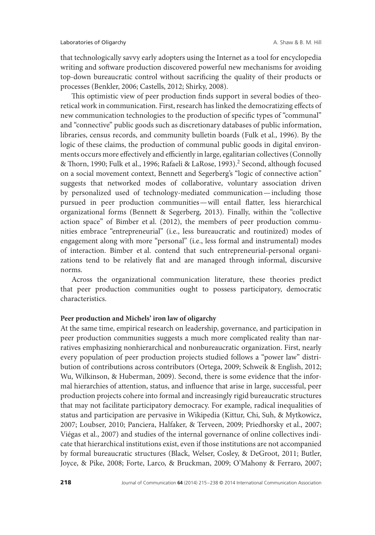that technologically savvy early adopters using the Internet as a tool for encyclopedia writing and software production discovered powerful new mechanisms for avoiding top-down bureaucratic control without sacrificing the quality of their products or processes (Benkler, 2006; Castells, 2012; Shirky, 2008).

This optimistic view of peer production finds support in several bodies of theoretical work in communication. First, research has linked the democratizing effects of new communication technologies to the production of specific types of "communal" and "connective" public goods such as discretionary databases of public information, libraries, census records, and community bulletin boards (Fulk et al., 1996). By the logic of these claims, the production of communal public goods in digital environments occurs more effectively and efficiently in large, egalitarian collectives (Connolly & Thorn, 1990; Fulk et al., 1996; Rafaeli & LaRose, 1993).2 Second, although focused on a social movement context, Bennett and Segerberg's "logic of connective action" suggests that networked modes of collaborative, voluntary association driven by personalized used of technology-mediated communication—including those pursued in peer production communities—will entail flatter, less hierarchical organizational forms (Bennett & Segerberg, 2013). Finally, within the "collective action space" of Bimber et al. (2012), the members of peer production communities embrace "entrepreneurial" (i.e., less bureaucratic and routinized) modes of engagement along with more "personal" (i.e., less formal and instrumental) modes of interaction. Bimber et al. contend that such entrepreneurial-personal organizations tend to be relatively flat and are managed through informal, discursive norms.

Across the organizational communication literature, these theories predict that peer production communities ought to possess participatory, democratic characteristics.

# **Peer production and Michels' iron law of oligarchy**

At the same time, empirical research on leadership, governance, and participation in peer production communities suggests a much more complicated reality than narratives emphasizing nonhierarchical and nonbureaucratic organization. First, nearly every population of peer production projects studied follows a "power law" distribution of contributions across contributors (Ortega, 2009; Schweik & English, 2012; Wu, Wilkinson, & Huberman, 2009). Second, there is some evidence that the informal hierarchies of attention, status, and influence that arise in large, successful, peer production projects cohere into formal and increasingly rigid bureaucratic structures that may not facilitate participatory democracy. For example, radical inequalities of status and participation are pervasive in Wikipedia (Kittur, Chi, Suh, & Mytkowicz, 2007; Loubser, 2010; Panciera, Halfaker, & Terveen, 2009; Priedhorsky et al., 2007; Viégas et al., 2007) and studies of the internal governance of online collectives indicate that hierarchical institutions exist, even if those institutions are not accompanied by formal bureaucratic structures (Black, Welser, Cosley, & DeGroot, 2011; Butler, Joyce, & Pike, 2008; Forte, Larco, & Bruckman, 2009; O'Mahony & Ferraro, 2007;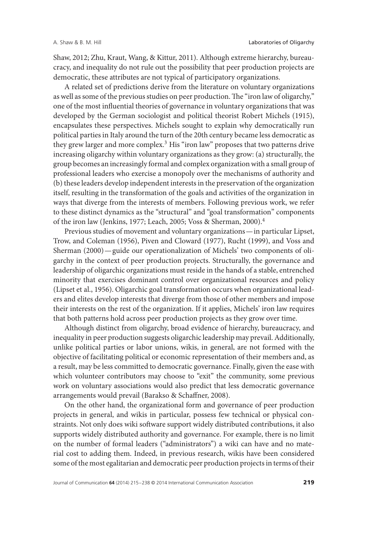Shaw, 2012; Zhu, Kraut, Wang, & Kittur, 2011). Although extreme hierarchy, bureaucracy, and inequality do not rule out the possibility that peer production projects are democratic, these attributes are not typical of participatory organizations.

A related set of predictions derive from the literature on voluntary organizations as well as some of the previous studies on peer production.The "iron law of oligarchy," one of the most influential theories of governance in voluntary organizations that was developed by the German sociologist and political theorist Robert Michels (1915), encapsulates these perspectives. Michels sought to explain why democratically run political parties in Italy around the turn of the 20th century became less democratic as they grew larger and more complex.<sup>3</sup> His "iron law" proposes that two patterns drive increasing oligarchy within voluntary organizations as they grow: (a) structurally, the group becomes an increasingly formal and complex organization with a small group of professional leaders who exercise a monopoly over the mechanisms of authority and (b) these leaders develop independent interests in the preservation of the organization itself, resulting in the transformation of the goals and activities of the organization in ways that diverge from the interests of members. Following previous work, we refer to these distinct dynamics as the "structural" and "goal transformation" components of the iron law (Jenkins, 1977; Leach, 2005; Voss & Sherman, 2000).<sup>4</sup>

Previous studies of movement and voluntary organizations—in particular Lipset, Trow, and Coleman (1956), Piven and Cloward (1977), Rucht (1999), and Voss and Sherman (2000)—guide our operationalization of Michels' two components of oligarchy in the context of peer production projects. Structurally, the governance and leadership of oligarchic organizations must reside in the hands of a stable, entrenched minority that exercises dominant control over organizational resources and policy (Lipset et al., 1956). Oligarchic goal transformation occurs when organizational leaders and elites develop interests that diverge from those of other members and impose their interests on the rest of the organization. If it applies, Michels' iron law requires that both patterns hold across peer production projects as they grow over time.

Although distinct from oligarchy, broad evidence of hierarchy, bureaucracy, and inequality in peer production suggests oligarchic leadership may prevail. Additionally, unlike political parties or labor unions, wikis, in general, are not formed with the objective of facilitating political or economic representation of their members and, as a result, may be less committed to democratic governance. Finally, given the ease with which volunteer contributors may choose to "exit" the community, some previous work on voluntary associations would also predict that less democratic governance arrangements would prevail (Barakso & Schaffner, 2008).

On the other hand, the organizational form and governance of peer production projects in general, and wikis in particular, possess few technical or physical constraints. Not only does wiki software support widely distributed contributions, it also supports widely distributed authority and governance. For example, there is no limit on the number of formal leaders ("administrators") a wiki can have and no material cost to adding them. Indeed, in previous research, wikis have been considered some of the most egalitarian and democratic peer production projects in terms of their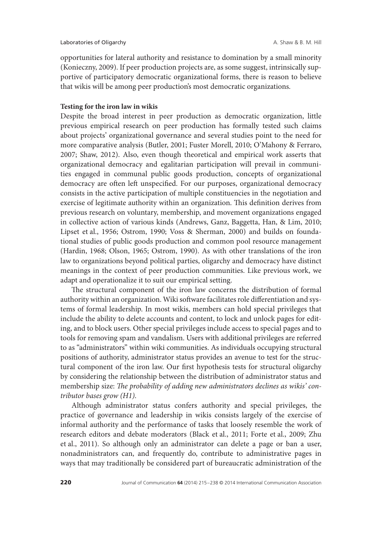opportunities for lateral authority and resistance to domination by a small minority (Konieczny, 2009). If peer production projects are, as some suggest, intrinsically supportive of participatory democratic organizational forms, there is reason to believe that wikis will be among peer production's most democratic organizations.

# **Testing for the iron law in wikis**

Despite the broad interest in peer production as democratic organization, little previous empirical research on peer production has formally tested such claims about projects' organizational governance and several studies point to the need for more comparative analysis (Butler, 2001; Fuster Morell, 2010; O'Mahony & Ferraro, 2007; Shaw, 2012). Also, even though theoretical and empirical work asserts that organizational democracy and egalitarian participation will prevail in communities engaged in communal public goods production, concepts of organizational democracy are often left unspecified. For our purposes, organizational democracy consists in the active participation of multiple constituencies in the negotiation and exercise of legitimate authority within an organization. This definition derives from previous research on voluntary, membership, and movement organizations engaged in collective action of various kinds (Andrews, Ganz, Baggetta, Han, & Lim, 2010; Lipset et al., 1956; Ostrom, 1990; Voss & Sherman, 2000) and builds on foundational studies of public goods production and common pool resource management (Hardin, 1968; Olson, 1965; Ostrom, 1990). As with other translations of the iron law to organizations beyond political parties, oligarchy and democracy have distinct meanings in the context of peer production communities. Like previous work, we adapt and operationalize it to suit our empirical setting.

The structural component of the iron law concerns the distribution of formal authority within an organization. Wiki software facilitates role differentiation and systems of formal leadership. In most wikis, members can hold special privileges that include the ability to delete accounts and content, to lock and unlock pages for editing, and to block users. Other special privileges include access to special pages and to tools for removing spam and vandalism. Users with additional privileges are referred to as "administrators" within wiki communities. As individuals occupying structural positions of authority, administrator status provides an avenue to test for the structural component of the iron law. Our first hypothesis tests for structural oligarchy by considering the relationship between the distribution of administrator status and membership size: *The probability of adding new administrators declines as wikis' contributor bases grow (H1)*.

Although administrator status confers authority and special privileges, the practice of governance and leadership in wikis consists largely of the exercise of informal authority and the performance of tasks that loosely resemble the work of research editors and debate moderators (Black et al., 2011; Forte et al., 2009; Zhu et al., 2011). So although only an administrator can delete a page or ban a user, nonadministrators can, and frequently do, contribute to administrative pages in ways that may traditionally be considered part of bureaucratic administration of the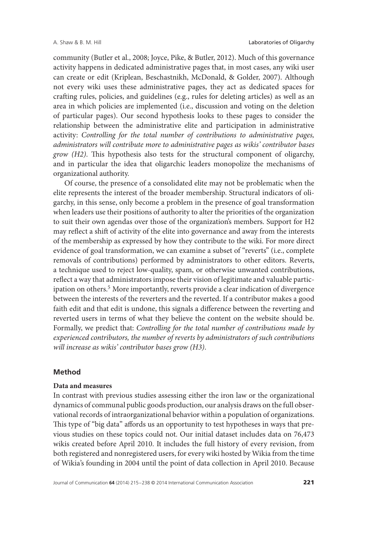community (Butler et al., 2008; Joyce, Pike, & Butler, 2012). Much of this governance activity happens in dedicated administrative pages that, in most cases, any wiki user can create or edit (Kriplean, Beschastnikh, McDonald, & Golder, 2007). Although not every wiki uses these administrative pages, they act as dedicated spaces for crafting rules, policies, and guidelines (e.g., rules for deleting articles) as well as an area in which policies are implemented (i.e., discussion and voting on the deletion of particular pages). Our second hypothesis looks to these pages to consider the relationship between the administrative elite and participation in administrative activity: *Controlling for the total number of contributions to administrative pages, administrators will contribute more to administrative pages as wikis' contributor bases grow (H2)*. This hypothesis also tests for the structural component of oligarchy, and in particular the idea that oligarchic leaders monopolize the mechanisms of organizational authority.

Of course, the presence of a consolidated elite may not be problematic when the elite represents the interest of the broader membership. Structural indicators of oligarchy, in this sense, only become a problem in the presence of goal transformation when leaders use their positions of authority to alter the priorities of the organization to suit their own agendas over those of the organization's members. Support for H2 may reflect a shift of activity of the elite into governance and away from the interests of the membership as expressed by how they contribute to the wiki. For more direct evidence of goal transformation, we can examine a subset of "reverts" (i.e., complete removals of contributions) performed by administrators to other editors. Reverts, a technique used to reject low-quality, spam, or otherwise unwanted contributions, reflect a way that administrators impose their vision of legitimate and valuable participation on others.<sup>5</sup> More importantly, reverts provide a clear indication of divergence between the interests of the reverters and the reverted. If a contributor makes a good faith edit and that edit is undone, this signals a difference between the reverting and reverted users in terms of what they believe the content on the website should be. Formally, we predict that: *Controlling for the total number of contributions made by experienced contributors, the number of reverts by administrators of such contributions will increase as wikis' contributor bases grow (H3)*.

# **Method**

# **Data and measures**

In contrast with previous studies assessing either the iron law or the organizational dynamics of communal public goods production, our analysis draws on the full observational records of intraorganizational behavior within a population of organizations. This type of "big data" affords us an opportunity to test hypotheses in ways that previous studies on these topics could not. Our initial dataset includes data on 76,473 wikis created before April 2010. It includes the full history of every revision, from both registered and nonregistered users, for every wiki hosted by Wikia from the time of Wikia's founding in 2004 until the point of data collection in April 2010. Because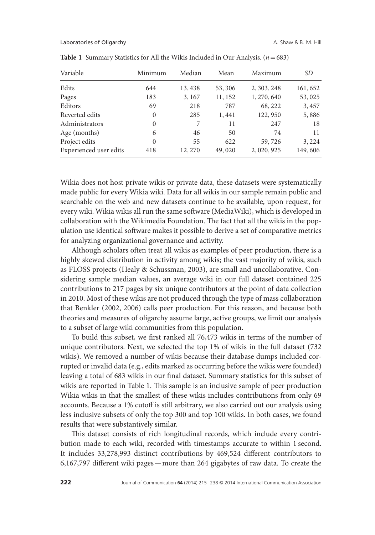#### Laboratories of Oligarchy **A. Shaw & B. M. Hill**

| Variable               | Minimum      | Median | Mean    | Maximum     | <i>SD</i> |
|------------------------|--------------|--------|---------|-------------|-----------|
| Edits                  | 644          | 13,438 | 53, 306 | 2, 303, 248 | 161, 652  |
| Pages                  | 183          | 3, 167 | 11, 152 | 1, 270, 640 | 53,025    |
| Editors                | 69           | 218    | 787     | 68,222      | 3,457     |
| Reverted edits         | $\mathbf{0}$ | 285    | 1,441   | 122,950     | 5,886     |
| Administrators         | $\Omega$     |        | 11      | 247         | 18        |
| Age (months)           | 6            | 46     | 50      | 74          | 11        |
| Project edits          | $\mathbf{0}$ | 55     | 622     | 59,726      | 3, 224    |
| Experienced user edits | 418          | 12,270 | 49,020  | 2,020,925   | 149,606   |

**Table 1** Summary Statistics for All the Wikis Included in Our Analysis.  $(n = 683)$ 

Wikia does not host private wikis or private data, these datasets were systematically made public for every Wikia wiki. Data for all wikis in our sample remain public and searchable on the web and new datasets continue to be available, upon request, for every wiki. Wikia wikis all run the same software (MediaWiki), which is developed in collaboration with the Wikimedia Foundation. The fact that all the wikis in the population use identical software makes it possible to derive a set of comparative metrics for analyzing organizational governance and activity.

Although scholars often treat all wikis as examples of peer production, there is a highly skewed distribution in activity among wikis; the vast majority of wikis, such as FLOSS projects (Healy & Schussman, 2003), are small and uncollaborative. Considering sample median values, an average wiki in our full dataset contained 225 contributions to 217 pages by six unique contributors at the point of data collection in 2010. Most of these wikis are not produced through the type of mass collaboration that Benkler (2002, 2006) calls peer production. For this reason, and because both theories and measures of oligarchy assume large, active groups, we limit our analysis to a subset of large wiki communities from this population.

To build this subset, we first ranked all 76,473 wikis in terms of the number of unique contributors. Next, we selected the top 1% of wikis in the full dataset (732 wikis). We removed a number of wikis because their database dumps included corrupted or invalid data (e.g., edits marked as occurring before the wikis were founded) leaving a total of 683 wikis in our final dataset. Summary statistics for this subset of wikis are reported in Table 1. This sample is an inclusive sample of peer production Wikia wikis in that the smallest of these wikis includes contributions from only 69 accounts. Because a 1% cutoff is still arbitrary, we also carried out our analysis using less inclusive subsets of only the top 300 and top 100 wikis. In both cases, we found results that were substantively similar.

This dataset consists of rich longitudinal records, which include every contribution made to each wiki, recorded with timestamps accurate to within 1 second. It includes 33,278,993 distinct contributions by 469,524 different contributors to 6,167,797 different wiki pages—more than 264 gigabytes of raw data. To create the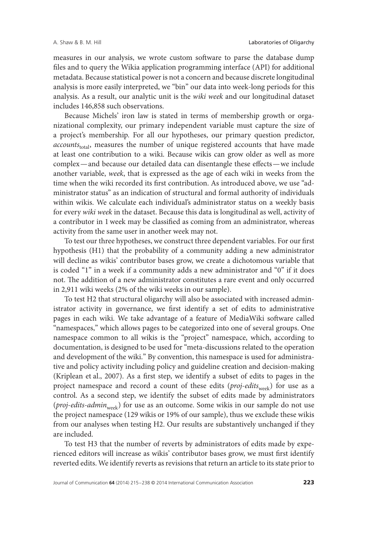measures in our analysis, we wrote custom software to parse the database dump files and to query the Wikia application programming interface (API) for additional metadata. Because statistical power is not a concern and because discrete longitudinal analysis is more easily interpreted, we "bin" our data into week-long periods for this analysis. As a result, our analytic unit is the *wiki week* and our longitudinal dataset includes 146,858 such observations.

Because Michels' iron law is stated in terms of membership growth or organizational complexity, our primary independent variable must capture the size of a project's membership. For all our hypotheses, our primary question predictor, accounts<sub>total</sub>, measures the number of unique registered accounts that have made at least one contribution to a wiki. Because wikis can grow older as well as more complex—and because our detailed data can disentangle these effects—we include another variable, *week*, that is expressed as the age of each wiki in weeks from the time when the wiki recorded its first contribution. As introduced above, we use "administrator status" as an indication of structural and formal authority of individuals within wikis. We calculate each individual's administrator status on a weekly basis for every *wiki week* in the dataset. Because this data is longitudinal as well, activity of a contributor in 1 week may be classified as coming from an administrator, whereas activity from the same user in another week may not.

To test our three hypotheses, we construct three dependent variables. For our first hypothesis (H1) that the probability of a community adding a new administrator will decline as wikis' contributor bases grow, we create a dichotomous variable that is coded "1" in a week if a community adds a new administrator and "0" if it does not. The addition of a new administrator constitutes a rare event and only occurred in 2,911 wiki weeks (2% of the wiki weeks in our sample).

To test H2 that structural oligarchy will also be associated with increased administrator activity in governance, we first identify a set of edits to administrative pages in each wiki. We take advantage of a feature of MediaWiki software called "namespaces," which allows pages to be categorized into one of several groups. One namespace common to all wikis is the "project" namespace, which, according to documentation, is designed to be used for "meta-discussions related to the operation and development of the wiki." By convention, this namespace is used for administrative and policy activity including policy and guideline creation and decision-making (Kriplean et al., 2007). As a first step, we identify a subset of edits to pages in the project namespace and record a count of these edits (*proj-edits*<sub>week</sub>) for use as a control. As a second step, we identify the subset of edits made by administrators (*proj-edits-admin*week) for use as an outcome. Some wikis in our sample do not use the project namespace (129 wikis or 19% of our sample), thus we exclude these wikis from our analyses when testing H2. Our results are substantively unchanged if they are included.

To test H3 that the number of reverts by administrators of edits made by experienced editors will increase as wikis' contributor bases grow, we must first identify reverted edits. We identify reverts as revisions that return an article to its state prior to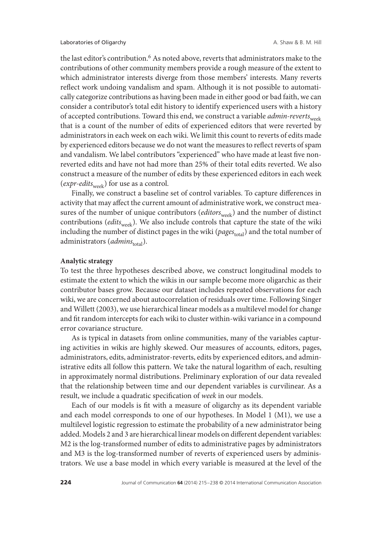the last editor's contribution.<sup>6</sup> As noted above, reverts that administrators make to the contributions of other community members provide a rough measure of the extent to which administrator interests diverge from those members' interests. Many reverts reflect work undoing vandalism and spam. Although it is not possible to automatically categorize contributions as having been made in either good or bad faith, we can consider a contributor's total edit history to identify experienced users with a history of accepted contributions. Toward this end, we construct a variable *admin-reverts*<sub>week</sub> that is a count of the number of edits of experienced editors that were reverted by administrators in each week on each wiki. We limit this count to reverts of edits made by experienced editors because we do not want the measures to reflect reverts of spam and vandalism. We label contributors "experienced" who have made at least five nonreverted edits and have not had more than 25% of their total edits reverted. We also construct a measure of the number of edits by these experienced editors in each week  $(expr-edits_{week})$  for use as a control.

Finally, we construct a baseline set of control variables. To capture differences in activity that may affect the current amount of administrative work, we construct measures of the number of unique contributors (*editors*<sub>week</sub>) and the number of distinct contributions (*edits*week). We also include controls that capture the state of the wiki including the number of distinct pages in the wiki (pages<sub>total</sub>) and the total number of administrators (*admins*<sub>total</sub>).

### **Analytic strategy**

To test the three hypotheses described above, we construct longitudinal models to estimate the extent to which the wikis in our sample become more oligarchic as their contributor bases grow. Because our dataset includes repeated observations for each wiki, we are concerned about autocorrelation of residuals over time. Following Singer and Willett (2003), we use hierarchical linear models as a multilevel model for change and fit random intercepts for each wiki to cluster within-wiki variance in a compound error covariance structure.

As is typical in datasets from online communities, many of the variables capturing activities in wikis are highly skewed. Our measures of accounts, editors, pages, administrators, edits, administrator-reverts, edits by experienced editors, and administrative edits all follow this pattern. We take the natural logarithm of each, resulting in approximately normal distributions. Preliminary exploration of our data revealed that the relationship between time and our dependent variables is curvilinear. As a result, we include a quadratic specification of *week* in our models.

Each of our models is fit with a measure of oligarchy as its dependent variable and each model corresponds to one of our hypotheses. In Model 1 (M1), we use a multilevel logistic regression to estimate the probability of a new administrator being added. Models 2 and 3 are hierarchical linear models on different dependent variables: M2 is the log-transformed number of edits to administrative pages by administrators and M3 is the log-transformed number of reverts of experienced users by administrators. We use a base model in which every variable is measured at the level of the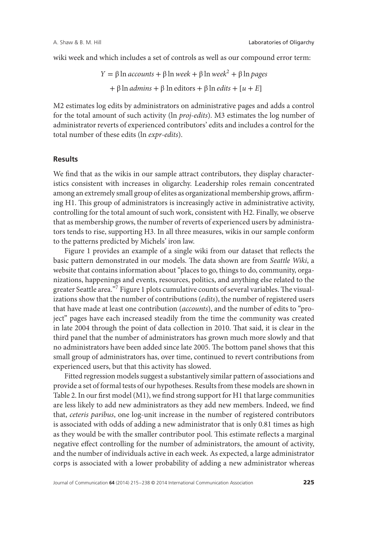wiki week and which includes a set of controls as well as our compound error term:

 $Y = \beta \ln a$ *ccounts* +  $\beta \ln$ *week* +  $\beta \ln$ *week*<sup>2</sup> +  $\beta \ln p$ *ages* + β ln *admins* + β ln editors + β ln *edits* + [*u* + *E*]

M2 estimates log edits by administrators on administrative pages and adds a control for the total amount of such activity (ln *proj-edits*). M3 estimates the log number of administrator reverts of experienced contributors' edits and includes a control for the total number of these edits (ln *expr-edits*).

# **Results**

We find that as the wikis in our sample attract contributors, they display characteristics consistent with increases in oligarchy. Leadership roles remain concentrated among an extremely small group of elites as organizational membership grows, affirming H1. This group of administrators is increasingly active in administrative activity, controlling for the total amount of such work, consistent with H2. Finally, we observe that as membership grows, the number of reverts of experienced users by administrators tends to rise, supporting H3. In all three measures, wikis in our sample conform to the patterns predicted by Michels' iron law.

Figure 1 provides an example of a single wiki from our dataset that reflects the basic pattern demonstrated in our models. The data shown are from *Seattle Wiki*, a website that contains information about "places to go, things to do, community, organizations, happenings and events, resources, politics, and anything else related to the greater Seattle area."<sup>7</sup> Figure 1 plots cumulative counts of several variables. The visualizations show that the number of contributions (*edits*), the number of registered users that have made at least one contribution (*accounts*), and the number of edits to "project" pages have each increased steadily from the time the community was created in late 2004 through the point of data collection in 2010. That said, it is clear in the third panel that the number of administrators has grown much more slowly and that no administrators have been added since late 2005. The bottom panel shows that this small group of administrators has, over time, continued to revert contributions from experienced users, but that this activity has slowed.

Fitted regression models suggest a substantively similar pattern of associations and provide a set of formal tests of our hypotheses. Results from these models are shown in Table 2. In our first model (M1), we find strong support for H1 that large communities are less likely to add new administrators as they add new members. Indeed, we find that, *ceteris paribus*, one log-unit increase in the number of registered contributors is associated with odds of adding a new administrator that is only 0.81 times as high as they would be with the smaller contributor pool. This estimate reflects a marginal negative effect controlling for the number of administrators, the amount of activity, and the number of individuals active in each week. As expected, a large administrator corps is associated with a lower probability of adding a new administrator whereas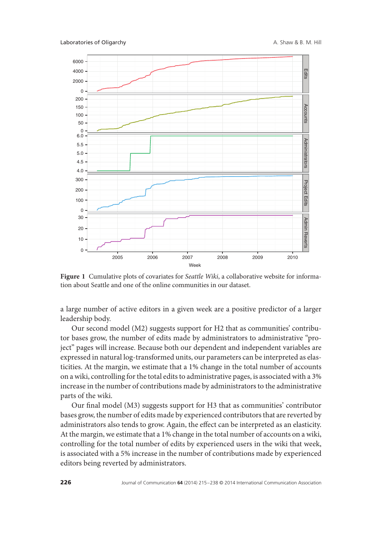

**Figure 1** Cumulative plots of covariates for *Seattle Wiki*, a collaborative website for information about Seattle and one of the online communities in our dataset.

a large number of active editors in a given week are a positive predictor of a larger leadership body.

Our second model (M2) suggests support for H2 that as communities' contributor bases grow, the number of edits made by administrators to administrative "project" pages will increase. Because both our dependent and independent variables are expressed in natural log-transformed units, our parameters can be interpreted as elasticities. At the margin, we estimate that a 1% change in the total number of accounts on a wiki, controlling for the total edits to administrative pages, is associated with a 3% increase in the number of contributions made by administrators to the administrative parts of the wiki.

Our final model (M3) suggests support for H3 that as communities' contributor bases grow, the number of edits made by experienced contributors that are reverted by administrators also tends to grow. Again, the effect can be interpreted as an elasticity. At the margin, we estimate that a 1% change in the total number of accounts on a wiki, controlling for the total number of edits by experienced users in the wiki that week, is associated with a 5% increase in the number of contributions made by experienced editors being reverted by administrators.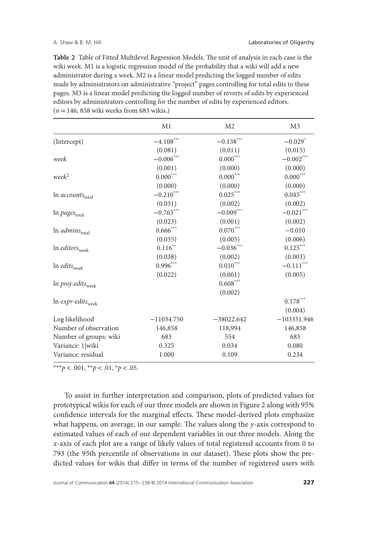**Table 2** Table of Fitted Multilevel Regression Models. The unit of analysis in each case is the wiki week. M1 is a logistic regression model of the probability that a wiki will add a new administrator during a week. M2 is a linear model predicting the logged number of edits made by administrators on administrative "project" pages controlling for total edits to these pages. M3 is a linear model predicting the logged number of reverts of edits by experienced editors by administrators controlling for the number of edits by experienced editors. (*n*=146, 858 wiki weeks from 683 wikis.)

|                                 | M1           | M <sub>2</sub> | M <sub>3</sub>          |
|---------------------------------|--------------|----------------|-------------------------|
| (Intercept)                     | $-4.108***$  | $-0.138***$    | $-0.029$ <sup>*</sup>   |
|                                 | (0.081)      | (0.011)        | (0.015)                 |
| week                            | $-0.006***$  | $0.000***$     | $-0.002$ ***            |
|                                 | (0.001)      | (0.000)        | (0.000)                 |
| $week^2$                        | $0.000***$   | $0.000***$     | $0.000***$              |
|                                 | (0.000)      | (0.000)        | (0.000)                 |
| In accountstotal                | $-0.210***$  | $0.025***$     | $0.045***$              |
|                                 | (0.031)      | (0.002)        | (0.002)                 |
| $\ln pages_{\text{total}}$      | $-0.763***$  | $-0.009***$    | $-0.021$ ***            |
|                                 | (0.023)      | (0.001)        | (0.002)                 |
| In adminstotal                  | $0.666$ ***  | $0.070***$     | $-0.010$                |
|                                 | (0.035)      | (0.005)        | (0.006)                 |
| In editors <sub>week</sub>      | $0.116**$    | $-0.036***$    | $0.125***$              |
|                                 | (0.038)      | (0.002)        | (0.003)                 |
| $ln$ edits week                 | $0.996***$   | $0.010***$     | $-0.111$ <sup>***</sup> |
|                                 | (0.022)      | (0.001)        | (0.005)                 |
| $ln$ proj-edits <sub>week</sub> |              | $0.608***$     |                         |
|                                 |              | (0.002)        |                         |
| In expr-edits <sub>week</sub>   |              |                | $0.178***$              |
|                                 |              |                | (0.004)                 |
| Log likelihood                  | $-11034.750$ | $-38022.642$   | $-103351.946$           |
| Number of observation           | 146,858      | 118,994        | 146,858                 |
| Number of groups: wiki          | 683          | 554            | 683                     |
| Variance: 1 wiki                | 0.325        | 0.034          | 0.080                   |
| Variance: residual              | 1.000        | 0.109          | 0.234                   |

\*\*\**p* < .001, \*\**p* < .01, \**p* < .05.

To assist in further interpretation and comparison, plots of predicted values for prototypical wikis for each of our three models are shown in Figure 2 along with 95% confidence intervals for the marginal effects. These model-derived plots emphasize what happens, on average, in our sample. The values along the *y*-axis correspond to estimated values of each of our dependent variables in our three models. Along the *x*-axis of each plot are a range of likely values of total registered accounts from 0 to 793 (the 95th percentile of observations in our dataset). These plots show the predicted values for wikis that differ in terms of the number of registered users with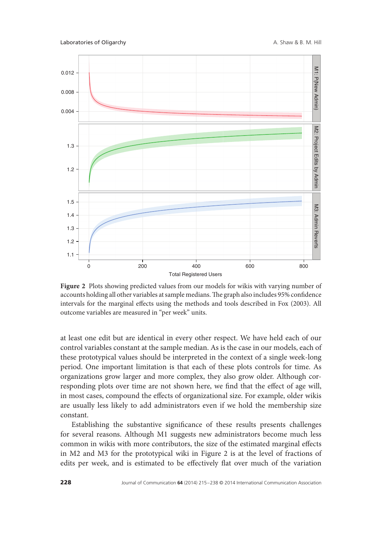Laboratories of Oligarchy **A. Shaw & B. M. Hill** 



**Figure 2** Plots showing predicted values from our models for wikis with varying number of accounts holding all other variables at sample medians.The graph also includes 95% confidence intervals for the marginal effects using the methods and tools described in Fox (2003). All outcome variables are measured in "per week" units.

at least one edit but are identical in every other respect. We have held each of our control variables constant at the sample median. As is the case in our models, each of these prototypical values should be interpreted in the context of a single week-long period. One important limitation is that each of these plots controls for time. As organizations grow larger and more complex, they also grow older. Although corresponding plots over time are not shown here, we find that the effect of age will, in most cases, compound the effects of organizational size. For example, older wikis are usually less likely to add administrators even if we hold the membership size constant.

Establishing the substantive significance of these results presents challenges for several reasons. Although M1 suggests new administrators become much less common in wikis with more contributors, the size of the estimated marginal effects in M2 and M3 for the prototypical wiki in Figure 2 is at the level of fractions of edits per week, and is estimated to be effectively flat over much of the variation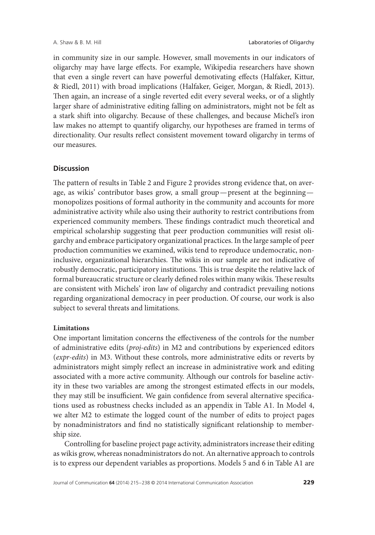in community size in our sample. However, small movements in our indicators of oligarchy may have large effects. For example, Wikipedia researchers have shown that even a single revert can have powerful demotivating effects (Halfaker, Kittur, & Riedl, 2011) with broad implications (Halfaker, Geiger, Morgan, & Riedl, 2013). Then again, an increase of a single reverted edit every several weeks, or of a slightly larger share of administrative editing falling on administrators, might not be felt as a stark shift into oligarchy. Because of these challenges, and because Michel's iron law makes no attempt to quantify oligarchy, our hypotheses are framed in terms of directionality. Our results reflect consistent movement toward oligarchy in terms of our measures.

# **Discussion**

The pattern of results in Table 2 and Figure 2 provides strong evidence that, on average, as wikis' contributor bases grow, a small group—present at the beginning monopolizes positions of formal authority in the community and accounts for more administrative activity while also using their authority to restrict contributions from experienced community members. These findings contradict much theoretical and empirical scholarship suggesting that peer production communities will resist oligarchy and embrace participatory organizational practices. In the large sample of peer production communities we examined, wikis tend to reproduce undemocratic, noninclusive, organizational hierarchies. The wikis in our sample are not indicative of robustly democratic, participatory institutions. This is true despite the relative lack of formal bureaucratic structure or clearly defined roles within many wikis. These results are consistent with Michels' iron law of oligarchy and contradict prevailing notions regarding organizational democracy in peer production. Of course, our work is also subject to several threats and limitations.

#### **Limitations**

One important limitation concerns the effectiveness of the controls for the number of administrative edits (*proj-edits*) in M2 and contributions by experienced editors (*expr-edits*) in M3. Without these controls, more administrative edits or reverts by administrators might simply reflect an increase in administrative work and editing associated with a more active community. Although our controls for baseline activity in these two variables are among the strongest estimated effects in our models, they may still be insufficient. We gain confidence from several alternative specifications used as robustness checks included as an appendix in Table A1. In Model 4, we alter M2 to estimate the logged count of the number of edits to project pages by nonadministrators and find no statistically significant relationship to membership size.

Controlling for baseline project page activity, administrators increase their editing as wikis grow, whereas nonadministrators do not. An alternative approach to controls is to express our dependent variables as proportions. Models 5 and 6 in Table A1 are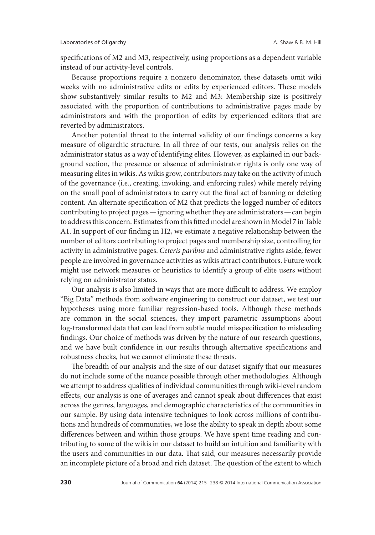specifications of M2 and M3, respectively, using proportions as a dependent variable instead of our activity-level controls.

Because proportions require a nonzero denominator, these datasets omit wiki weeks with no administrative edits or edits by experienced editors. These models show substantively similar results to M2 and M3: Membership size is positively associated with the proportion of contributions to administrative pages made by administrators and with the proportion of edits by experienced editors that are reverted by administrators.

Another potential threat to the internal validity of our findings concerns a key measure of oligarchic structure. In all three of our tests, our analysis relies on the administrator status as a way of identifying elites. However, as explained in our background section, the presence or absence of administrator rights is only one way of measuring elites in wikis. As wikis grow, contributors may take on the activity of much of the governance (i.e., creating, invoking, and enforcing rules) while merely relying on the small pool of administrators to carry out the final act of banning or deleting content. An alternate specification of M2 that predicts the logged number of editors contributing to project pages—ignoring whether they are administrators—can begin to address this concern. Estimates from this fitted model are shown in Model 7 in Table A1. In support of our finding in H2, we estimate a negative relationship between the number of editors contributing to project pages and membership size, controlling for activity in administrative pages. *Ceteris paribus* and administrative rights aside, fewer people are involved in governance activities as wikis attract contributors. Future work might use network measures or heuristics to identify a group of elite users without relying on administrator status.

Our analysis is also limited in ways that are more difficult to address. We employ "Big Data" methods from software engineering to construct our dataset, we test our hypotheses using more familiar regression-based tools. Although these methods are common in the social sciences, they import parametric assumptions about log-transformed data that can lead from subtle model misspecification to misleading findings. Our choice of methods was driven by the nature of our research questions, and we have built confidence in our results through alternative specifications and robustness checks, but we cannot eliminate these threats.

The breadth of our analysis and the size of our dataset signify that our measures do not include some of the nuance possible through other methodologies. Although we attempt to address qualities of individual communities through wiki-level random effects, our analysis is one of averages and cannot speak about differences that exist across the genres, languages, and demographic characteristics of the communities in our sample. By using data intensive techniques to look across millions of contributions and hundreds of communities, we lose the ability to speak in depth about some differences between and within those groups. We have spent time reading and contributing to some of the wikis in our dataset to build an intuition and familiarity with the users and communities in our data. That said, our measures necessarily provide an incomplete picture of a broad and rich dataset. The question of the extent to which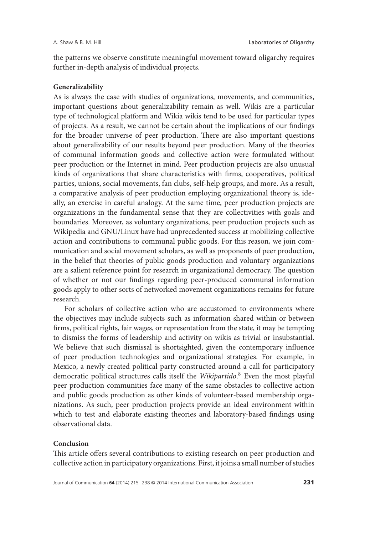the patterns we observe constitute meaningful movement toward oligarchy requires further in-depth analysis of individual projects.

#### **Generalizability**

As is always the case with studies of organizations, movements, and communities, important questions about generalizability remain as well. Wikis are a particular type of technological platform and Wikia wikis tend to be used for particular types of projects. As a result, we cannot be certain about the implications of our findings for the broader universe of peer production. There are also important questions about generalizability of our results beyond peer production. Many of the theories of communal information goods and collective action were formulated without peer production or the Internet in mind. Peer production projects are also unusual kinds of organizations that share characteristics with firms, cooperatives, political parties, unions, social movements, fan clubs, self-help groups, and more. As a result, a comparative analysis of peer production employing organizational theory is, ideally, an exercise in careful analogy. At the same time, peer production projects are organizations in the fundamental sense that they are collectivities with goals and boundaries. Moreover, as voluntary organizations, peer production projects such as Wikipedia and GNU/Linux have had unprecedented success at mobilizing collective action and contributions to communal public goods. For this reason, we join communication and social movement scholars, as well as proponents of peer production, in the belief that theories of public goods production and voluntary organizations are a salient reference point for research in organizational democracy. The question of whether or not our findings regarding peer-produced communal information goods apply to other sorts of networked movement organizations remains for future research.

For scholars of collective action who are accustomed to environments where the objectives may include subjects such as information shared within or between firms, political rights, fair wages, or representation from the state, it may be tempting to dismiss the forms of leadership and activity on wikis as trivial or insubstantial. We believe that such dismissal is shortsighted, given the contemporary influence of peer production technologies and organizational strategies. For example, in Mexico, a newly created political party constructed around a call for participatory democratic political structures calls itself the *Wikipartido*. <sup>8</sup> Even the most playful peer production communities face many of the same obstacles to collective action and public goods production as other kinds of volunteer-based membership organizations. As such, peer production projects provide an ideal environment within which to test and elaborate existing theories and laboratory-based findings using observational data.

## **Conclusion**

This article offers several contributions to existing research on peer production and collective action in participatory organizations. First, it joins a small number of studies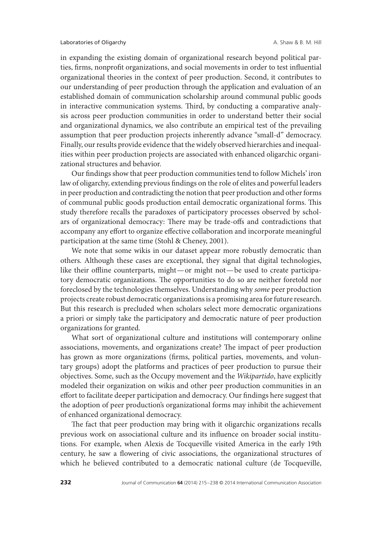in expanding the existing domain of organizational research beyond political parties, firms, nonprofit organizations, and social movements in order to test influential organizational theories in the context of peer production. Second, it contributes to our understanding of peer production through the application and evaluation of an established domain of communication scholarship around communal public goods in interactive communication systems. Third, by conducting a comparative analysis across peer production communities in order to understand better their social and organizational dynamics, we also contribute an empirical test of the prevailing assumption that peer production projects inherently advance "small-d" democracy. Finally, our results provide evidence that the widely observed hierarchies and inequalities within peer production projects are associated with enhanced oligarchic organizational structures and behavior.

Our findings show that peer production communities tend to follow Michels' iron law of oligarchy, extending previous findings on the role of elites and powerful leaders in peer production and contradicting the notion that peer production and other forms of communal public goods production entail democratic organizational forms. This study therefore recalls the paradoxes of participatory processes observed by scholars of organizational democracy: There may be trade-offs and contradictions that accompany any effort to organize effective collaboration and incorporate meaningful participation at the same time (Stohl & Cheney, 2001).

We note that some wikis in our dataset appear more robustly democratic than others. Although these cases are exceptional, they signal that digital technologies, like their offline counterparts, might—or might not—be used to create participatory democratic organizations. The opportunities to do so are neither foretold nor foreclosed by the technologies themselves. Understanding why *some* peer production projects create robust democratic organizations is a promising area for future research. But this research is precluded when scholars select more democratic organizations a priori or simply take the participatory and democratic nature of peer production organizations for granted.

What sort of organizational culture and institutions will contemporary online associations, movements, and organizations create? The impact of peer production has grown as more organizations (firms, political parties, movements, and voluntary groups) adopt the platforms and practices of peer production to pursue their objectives. Some, such as the Occupy movement and the *Wikipartido*, have explicitly modeled their organization on wikis and other peer production communities in an effort to facilitate deeper participation and democracy. Our findings here suggest that the adoption of peer production's organizational forms may inhibit the achievement of enhanced organizational democracy.

The fact that peer production may bring with it oligarchic organizations recalls previous work on associational culture and its influence on broader social institutions. For example, when Alexis de Tocqueville visited America in the early 19th century, he saw a flowering of civic associations, the organizational structures of which he believed contributed to a democratic national culture (de Tocqueville,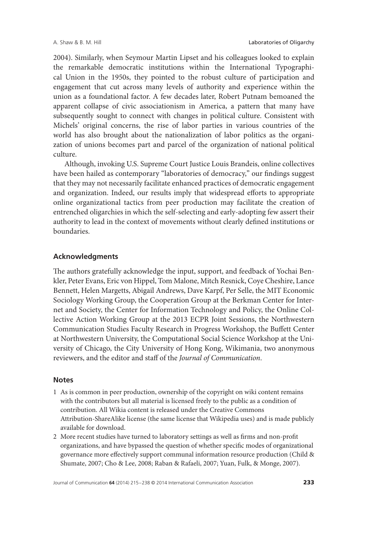2004). Similarly, when Seymour Martin Lipset and his colleagues looked to explain the remarkable democratic institutions within the International Typographical Union in the 1950s, they pointed to the robust culture of participation and engagement that cut across many levels of authority and experience within the union as a foundational factor. A few decades later, Robert Putnam bemoaned the apparent collapse of civic associationism in America, a pattern that many have subsequently sought to connect with changes in political culture. Consistent with Michels' original concerns, the rise of labor parties in various countries of the world has also brought about the nationalization of labor politics as the organization of unions becomes part and parcel of the organization of national political culture.

Although, invoking U.S. Supreme Court Justice Louis Brandeis, online collectives have been hailed as contemporary "laboratories of democracy," our findings suggest that they may not necessarily facilitate enhanced practices of democratic engagement and organization. Indeed, our results imply that widespread efforts to appropriate online organizational tactics from peer production may facilitate the creation of entrenched oligarchies in which the self-selecting and early-adopting few assert their authority to lead in the context of movements without clearly defined institutions or boundaries.

# **Acknowledgments**

The authors gratefully acknowledge the input, support, and feedback of Yochai Benkler, Peter Evans, Eric von Hippel, Tom Malone, Mitch Resnick, Coye Cheshire, Lance Bennett, Helen Margetts, Abigail Andrews, Dave Karpf, Per Selle, the MIT Economic Sociology Working Group, the Cooperation Group at the Berkman Center for Internet and Society, the Center for Information Technology and Policy, the Online Collective Action Working Group at the 2013 ECPR Joint Sessions, the Northwestern Communication Studies Faculty Research in Progress Workshop, the Buffett Center at Northwestern University, the Computational Social Science Workshop at the University of Chicago, the City University of Hong Kong, Wikimania, two anonymous reviewers, and the editor and staff of the *Journal of Communication*.

# **Notes**

- 1 As is common in peer production, ownership of the copyright on wiki content remains with the contributors but all material is licensed freely to the public as a condition of contribution. All Wikia content is released under the Creative Commons Attribution-ShareAlike license (the same license that Wikipedia uses) and is made publicly available for download.
- 2 More recent studies have turned to laboratory settings as well as firms and non-profit organizations, and have bypassed the question of whether specific modes of organizational governance more effectively support communal information resource production (Child & Shumate, 2007; Cho & Lee, 2008; Raban & Rafaeli, 2007; Yuan, Fulk, & Monge, 2007).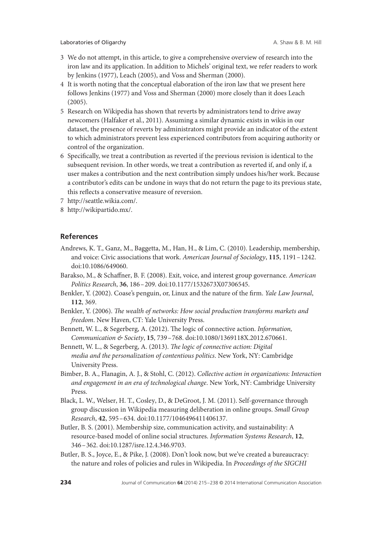- 3 We do not attempt, in this article, to give a comprehensive overview of research into the iron law and its application. In addition to Michels' original text, we refer readers to work by Jenkins (1977), Leach (2005), and Voss and Sherman (2000).
- 4 It is worth noting that the conceptual elaboration of the iron law that we present here follows Jenkins (1977) and Voss and Sherman (2000) more closely than it does Leach (2005).
- 5 Research on Wikipedia has shown that reverts by administrators tend to drive away newcomers (Halfaker et al., 2011). Assuming a similar dynamic exists in wikis in our dataset, the presence of reverts by administrators might provide an indicator of the extent to which administrators prevent less experienced contributors from acquiring authority or control of the organization.
- 6 Specifically, we treat a contribution as reverted if the previous revision is identical to the subsequent revision. In other words, we treat a contribution as reverted if, and only if, a user makes a contribution and the next contribution simply undoes his/her work. Because a contributor's edits can be undone in ways that do not return the page to its previous state, this reflects a conservative measure of reversion.
- 7 http://seattle.wikia.com/.
- 8 http://wikipartido.mx/.

# **References**

- Andrews, K. T., Ganz, M., Baggetta, M., Han, H., & Lim, C. (2010). Leadership, membership, and voice: Civic associations that work. *American Journal of Sociology*, **115**, 1191–1242. doi:10.1086/649060.
- Barakso, M., & Schaffner, B. F. (2008). Exit, voice, and interest group governance. *American Politics Research*, **36**, 186–209. doi:10.1177/1532673X07306545.
- Benkler, Y. (2002). Coase's penguin, or, Linux and the nature of the firm. *Yale Law Journal*, **112**, 369.
- Benkler, Y. (2006). *The wealth of networks: How social production transforms markets and freedom*. New Haven, CT: Yale University Press.
- Bennett, W. L., & Segerberg, A. (2012). The logic of connective action. *Information, Communication & Society*, **15**, 739–768. doi:10.1080/1369118X.2012.670661.
- Bennett, W. L., & Segerberg, A. (2013). *The logic of connective action: Digital media and the personalization of contentious politics*. New York, NY: Cambridge University Press.
- Bimber, B. A., Flanagin, A. J., & Stohl, C. (2012). *Collective action in organizations: Interaction and engagement in an era of technological change*. New York, NY: Cambridge University Press.
- Black, L. W., Welser, H. T., Cosley, D., & DeGroot, J. M. (2011). Self-governance through group discussion in Wikipedia measuring deliberation in online groups. *Small Group Research*, **42**, 595–634. doi:10.1177/1046496411406137.
- Butler, B. S. (2001). Membership size, communication activity, and sustainability: A resource-based model of online social structures. *Information Systems Research*, **12**, 346–362. doi:10.1287/isre.12.4.346.9703.
- Butler, B. S., Joyce, E., & Pike, J. (2008). Don't look now, but we've created a bureaucracy: the nature and roles of policies and rules in Wikipedia. In *Proceedings of the SIGCHI*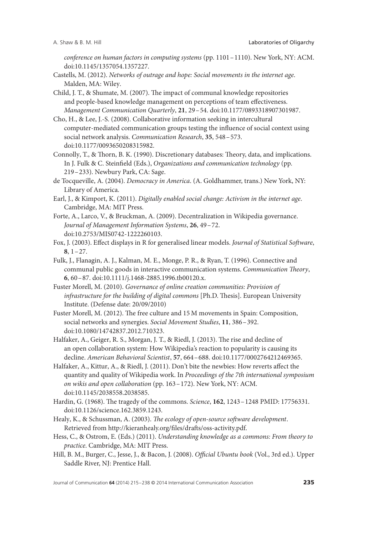*conference on human factors in computing systems* (pp. 1101–1110). New York, NY: ACM. doi:10.1145/1357054.1357227.

Castells, M. (2012). *Networks of outrage and hope: Social movements in the internet age*. Malden, MA: Wiley.

Child, J. T., & Shumate, M. (2007). The impact of communal knowledge repositories and people-based knowledge management on perceptions of team effectiveness. *Management Communication Quarterly*, **21**, 29–54. doi:10.1177/0893318907301987.

Cho, H., & Lee, J.-S. (2008). Collaborative information seeking in intercultural computer-mediated communication groups testing the influence of social context using social network analysis. *Communication Research*, **35**, 548–573. doi:10.1177/0093650208315982.

Connolly, T., & Thorn, B. K. (1990). Discretionary databases: Theory, data, and implications. In J. Fulk & C. Steinfield (Eds.), *Organizations and communication technology* (pp. 219–233). Newbury Park, CA: Sage.

de Tocqueville, A. (2004). *Democracy in America*. (A. Goldhammer, trans.) New York, NY: Library of America.

- Earl, J., & Kimport, K. (2011). *Digitally enabled social change: Activism in the internet age*. Cambridge, MA: MIT Press.
- Forte, A., Larco, V., & Bruckman, A. (2009). Decentralization in Wikipedia governance. *Journal of Management Information Systems*, **26**, 49–72. doi:10.2753/MIS0742-1222260103.
- Fox, J. (2003). Effect displays in R for generalised linear models. *Journal of Statistical Software*, **8**, 1–27.
- Fulk, J., Flanagin, A. J., Kalman, M. E., Monge, P. R., & Ryan, T. (1996). Connective and communal public goods in interactive communication systems. *Communication Theory*, **6**, 60–87. doi:10.1111/j.1468-2885.1996.tb00120.x.

Fuster Morell, M. (2010). *Governance of online creation communities: Provision of infrastructure for the building of digital commons* [Ph.D. Thesis]. European University Institute. (Defense date: 20/09/2010)

Fuster Morell, M. (2012). The free culture and 15 M movements in Spain: Composition, social networks and synergies. *Social Movement Studies*, **11**, 386–392. doi:10.1080/14742837.2012.710323.

Halfaker, A., Geiger, R. S., Morgan, J. T., & Riedl, J. (2013). The rise and decline of an open collaboration system: How Wikipedia's reaction to popularity is causing its decline. *American Behavioral Scientist*, **57**, 664–688. doi:10.1177/0002764212469365.

- Halfaker, A., Kittur, A., & Riedl, J. (2011). Don't bite the newbies: How reverts affect the quantity and quality of Wikipedia work. In *Proceedings of the 7th international symposium on wikis and open collaboration* (pp. 163–172). New York, NY: ACM. doi:10.1145/2038558.2038585.
- Hardin, G. (1968). The tragedy of the commons. *Science*, **162**, 1243–1248 PMID: 17756331. doi:10.1126/science.162.3859.1243.
- Healy, K., & Schussman, A. (2003). *The ecology of open-source software development*. Retrieved from http://kieranhealy.org/files/drafts/oss-activity.pdf.

Hess, C., & Ostrom, E. (Eds.) (2011). *Understanding knowledge as a commons: From theory to practice*. Cambridge, MA: MIT Press.

Hill, B. M., Burger, C., Jesse, J., & Bacon, J. (2008). *Official Ubuntu book* (Vol., 3rd ed.). Upper Saddle River, NJ: Prentice Hall.

Journal of Communication **64** (2014) 215–238 © 2014 International Communication Association **235**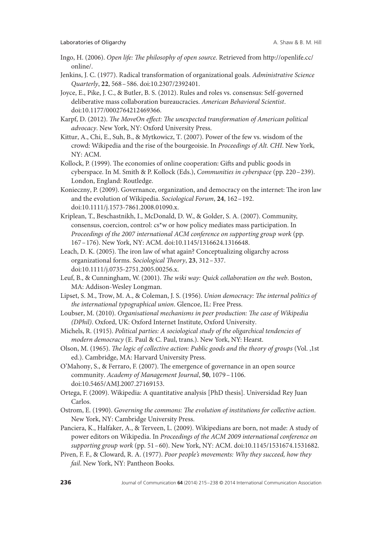- Ingo, H. (2006). *Open life: The philosophy of open source*. Retrieved from http://openlife.cc/ online/.
- Jenkins, J. C. (1977). Radical transformation of organizational goals. *Administrative Science Quarterly*, **22**, 568–586. doi:10.2307/2392401.
- Joyce, E., Pike, J. C., & Butler, B. S. (2012). Rules and roles vs. consensus: Self-governed deliberative mass collaboration bureaucracies. *American Behavioral Scientist*. doi:10.1177/0002764212469366.
- Karpf, D. (2012). *The MoveOn effect: The unexpected transformation of American political advocacy*. New York, NY: Oxford University Press.
- Kittur, A., Chi, E., Suh, B., & Mytkowicz, T. (2007). Power of the few vs. wisdom of the crowd: Wikipedia and the rise of the bourgeoisie. In *Proceedings of Alt. CHI*. New York, NY: ACM.
- Kollock, P. (1999). The economies of online cooperation: Gifts and public goods in cyberspace. In M. Smith & P. Kollock (Eds.), *Communities in cyberspace* (pp. 220–239). London, England: Routledge.
- Konieczny, P. (2009). Governance, organization, and democracy on the internet: The iron law and the evolution of Wikipedia. *Sociological Forum*, **24**, 162–192. doi:10.1111/j.1573-7861.2008.01090.x.
- Kriplean, T., Beschastnikh, I., McDonald, D. W., & Golder, S. A. (2007). Community, consensus, coercion, control: cs\*w or how policy mediates mass participation. In *Proceedings of the 2007 international ACM conference on supporting group work* (pp. 167–176). New York, NY: ACM. doi:10.1145/1316624.1316648.
- Leach, D. K. (2005). The iron law of what again? Conceptualizing oligarchy across organizational forms. *Sociological Theory*, **23**, 312–337. doi:10.1111/j.0735-2751.2005.00256.x.
- Leuf, B., & Cunningham, W. (2001). *The wiki way: Quick collaboration on the web*. Boston, MA: Addison-Wesley Longman.
- Lipset, S. M., Trow, M. A., & Coleman, J. S. (1956). *Union democracy: The internal politics of the international typographical union*. Glencoe, IL: Free Press.
- Loubser, M. (2010). *Organisational mechanisms in peer production: The case of Wikipedia (DPhil)*. Oxford, UK: Oxford Internet Institute, Oxford University.
- Michels, R. (1915). *Political parties: A sociological study of the oligarchical tendencies of modern democracy* (E. Paul & C. Paul, trans.). New York, NY: Hearst.
- Olson, M. (1965). *The logic of collective action: Public goods and the theory of groups* (Vol. ,1st ed.). Cambridge, MA: Harvard University Press.
- O'Mahony, S., & Ferraro, F. (2007). The emergence of governance in an open source community. *Academy of Management Journal*, **50**, 1079–1106. doi:10.5465/AMJ.2007.27169153.
- Ortega, F. (2009). Wikipedia: A quantitative analysis [PhD thesis]. Universidad Rey Juan Carlos.
- Ostrom, E. (1990). *Governing the commons: The evolution of institutions for collective action*. New York, NY: Cambridge University Press.
- Panciera, K., Halfaker, A., & Terveen, L. (2009). Wikipedians are born, not made: A study of power editors on Wikipedia. In *Proceedings of the ACM 2009 international conference on supporting group work* (pp. 51–60). New York, NY: ACM. doi:10.1145/1531674.1531682.
- Piven, F. F., & Cloward, R. A. (1977). *Poor people's movements: Why they succeed, how they fail*. New York, NY: Pantheon Books.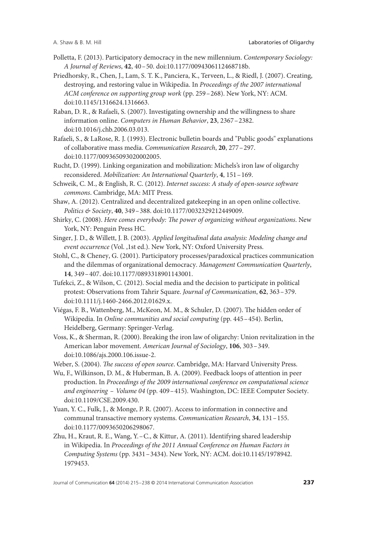- Polletta, F. (2013). Participatory democracy in the new millennium. *Contemporary Sociology: A Journal of Reviews*, **42**, 40–50. doi:10.1177/0094306112468718b.
- Priedhorsky, R., Chen, J., Lam, S. T. K., Panciera, K., Terveen, L., & Riedl, J. (2007). Creating, destroying, and restoring value in Wikipedia. In *Proceedings of the 2007 international ACM conference on supporting group work* (pp. 259–268). New York, NY: ACM. doi:10.1145/1316624.1316663.
- Raban, D. R., & Rafaeli, S. (2007). Investigating ownership and the willingness to share information online. *Computers in Human Behavior*, **23**, 2367–2382. doi:10.1016/j.chb.2006.03.013.
- Rafaeli, S., & LaRose, R. J. (1993). Electronic bulletin boards and "Public goods" explanations of collaborative mass media. *Communication Research*, **20**, 277–297. doi:10.1177/009365093020002005.
- Rucht, D. (1999). Linking organization and mobilization: Michels's iron law of oligarchy reconsidered. *Mobilization: An International Quarterly*, **4**, 151–169.
- Schweik, C. M., & English, R. C. (2012). *Internet success: A study of open-source software commons*. Cambridge, MA: MIT Press.
- Shaw, A. (2012). Centralized and decentralized gatekeeping in an open online collective. *Politics & Society*, **40**, 349–388. doi:10.1177/0032329212449009.
- Shirky, C. (2008). *Here comes everybody: The power of organizing without organizations*. New York, NY: Penguin Press HC.
- Singer, J. D., & Willett, J. B. (2003). *Applied longitudinal data analysis: Modeling change and event occurrence* (Vol. ,1st ed.). New York, NY: Oxford University Press.
- Stohl, C., & Cheney, G. (2001). Participatory processes/paradoxical practices communication and the dilemmas of organizational democracy. *Management Communication Quarterly*, **14**, 349–407. doi:10.1177/0893318901143001.
- Tufekci, Z., & Wilson, C. (2012). Social media and the decision to participate in political protest: Observations from Tahrir Square. *Journal of Communication*, **62**, 363–379. doi:10.1111/j.1460-2466.2012.01629.x.
- Viégas, F. B., Wattenberg, M., McKeon, M. M., & Schuler, D. (2007). The hidden order of Wikipedia. In *Online communities and social computing* (pp. 445–454). Berlin, Heidelberg, Germany: Springer-Verlag.
- Voss, K., & Sherman, R. (2000). Breaking the iron law of oligarchy: Union revitalization in the American labor movement. *American Journal of Sociology*, **106**, 303–349. doi:10.1086/ajs.2000.106.issue-2.
- Weber, S. (2004). *The success of open source*. Cambridge, MA: Harvard University Press.
- Wu, F., Wilkinson, D. M., & Huberman, B. A. (2009). Feedback loops of attention in peer production. In *Proceedings of the 2009 international conference on computational science and engineering – Volume 04* (pp. 409–415). Washington, DC: IEEE Computer Society. doi:10.1109/CSE.2009.430.
- Yuan, Y. C., Fulk, J., & Monge, P. R. (2007). Access to information in connective and communal transactive memory systems. *Communication Research*, **34**, 131–155. doi:10.1177/0093650206298067.
- Zhu, H., Kraut, R. E., Wang, Y.–C., & Kittur, A. (2011). Identifying shared leadership in Wikipedia. In *Proceedings of the 2011 Annual Conference on Human Factors in Computing Systems* (pp. 3431–3434). New York, NY: ACM. doi:10.1145/1978942. 1979453.